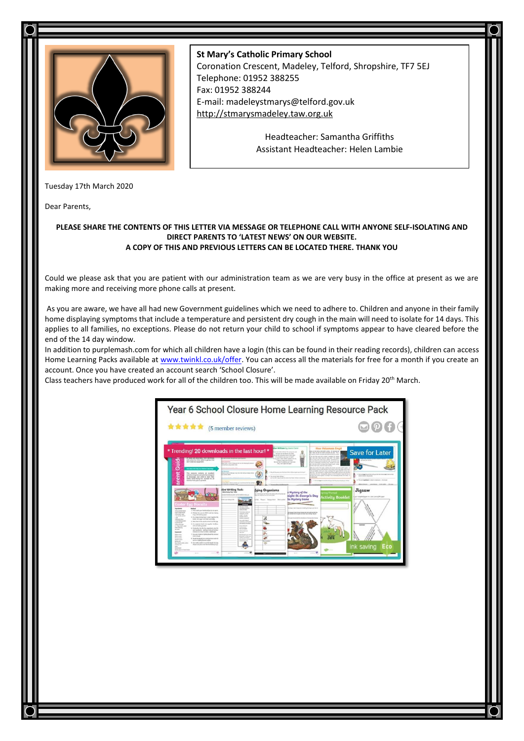

## **St Mary's Catholic Primary School**

Coronation Crescent, Madeley, Telford, Shropshire, TF7 5EJ Telephone: 01952 388255 Fax: 01952 388244 E-mail: madeleystmarys@telford.gov.uk [http://stmarysmadeley.taw.org.uk](http://stmarysmadeley.taw.org.uk/)

> Headteacher: Samantha Griffiths Assistant Headteacher: Helen Lambie

Tuesday 17th March 2020

Dear Parents,

## **PLEASE SHARE THE CONTENTS OF THIS LETTER VIA MESSAGE OR TELEPHONE CALL WITH ANYONE SELF-ISOLATING AND DIRECT PARENTS TO 'LATEST NEWS' ON OUR WEBSITE. A COPY OF THIS AND PREVIOUS LETTERS CAN BE LOCATED THERE. THANK YOU**

Could we please ask that you are patient with our administration team as we are very busy in the office at present as we are making more and receiving more phone calls at present.

As you are aware, we have all had new Government guidelines which we need to adhere to. Children and anyone in their family home displaying symptoms that include a temperature and persistent dry cough in the main will need to isolate for 14 days. This applies to all families, no exceptions. Please do not return your child to school if symptoms appear to have cleared before the end of the 14 day window.

In addition to purplemash.com for which all children have a login (this can be found in their reading records), children can access Home Learning Packs available a[t www.twinkl.co.uk/offer.](http://www.twinkl.co.uk/offer) You can access all the materials for free for a month if you create an account. Once you have created an account search 'School Closure'.

Class teachers have produced work for all of the children too. This will be made available on Friday 20th March.

|                                                                                                                                                                                                                                                                                                                                                                                                                                                                                                                                                                                             | Year 6 School Closure Home Learning Resource Pack                                                                                                                                                                                                                                                                                                            |                                                                                                                                                                                                                                                                                                                                                                                                                                                                                                                                                                                                                                                                                       |  |
|---------------------------------------------------------------------------------------------------------------------------------------------------------------------------------------------------------------------------------------------------------------------------------------------------------------------------------------------------------------------------------------------------------------------------------------------------------------------------------------------------------------------------------------------------------------------------------------------|--------------------------------------------------------------------------------------------------------------------------------------------------------------------------------------------------------------------------------------------------------------------------------------------------------------------------------------------------------------|---------------------------------------------------------------------------------------------------------------------------------------------------------------------------------------------------------------------------------------------------------------------------------------------------------------------------------------------------------------------------------------------------------------------------------------------------------------------------------------------------------------------------------------------------------------------------------------------------------------------------------------------------------------------------------------|--|
| <b>食食食食</b> (5 member reviews)                                                                                                                                                                                                                                                                                                                                                                                                                                                                                                                                                              |                                                                                                                                                                                                                                                                                                                                                              | $\mathbf{D} \mathbf{\Omega} \mathbf{f}$ (+                                                                                                                                                                                                                                                                                                                                                                                                                                                                                                                                                                                                                                            |  |
|                                                                                                                                                                                                                                                                                                                                                                                                                                                                                                                                                                                             | her William by Lewis Corol<br>* Trending! 20 downloads in the last hour! *<br>sking hand retired for price top and                                                                                                                                                                                                                                           | <b>How Volcanoes Erupt</b><br><b>Save for Later</b><br>the science has a best made when the second and<br>they lady an out an what actuals by last. The                                                                                                                                                                                                                                                                                                                                                                                                                                                                                                                               |  |
| and sorius by times take to parties that<br>۰<br><b>SMT Next any equipment</b><br>ă<br>the State Still Sale are children's but                                                                                                                                                                                                                                                                                                                                                                                                                                                              | Tech and that the Nectro any sites:<br>Lab are researchy stand in and lead-<br>drum him or per last to right?<br>to pick "new what applies to an<br>Tobased to leapily starts for record<br>for you has the perfectly wind been com-<br>they have a hotel in the air look as the leasing of colours.<br>Was free to part and paint<br>of drive you went that | straits dealer contains due today for furth codes<br>an he has got a views rended by more<br>the rest and trans win and trade sink. The stages<br>they is a long apply what was it decay therefore it is a<br>the art end when he could be been asked in the distribu-<br>structure and property contact that a factor. Number age of the<br>to a his text which is a long more shared much costly<br>the distribution and what we recall that they<br>the day of policy for product and data, the function can be an electronical at-<br>a structure access and in the lock. By many time is the selfer of the staff                                                                 |  |
| Ĕ<br>This resource contains an accelere<br>interimental games and achiefred designed<br>to encourage your shift to learn their<br>latins, while heavy fun. Surialise for all<br>٠<br>learners from your 3 speakter<br>$\overline{a}$                                                                                                                                                                                                                                                                                                                                                        | ×<br>Present manager and list the property and and state and state and state and manager allowsed<br>and modules subsets.<br>Telephone and Publish Antiques.<br>tions them in that his result was an increasing the April and<br>m<br>citiz at a companyl or date.                                                                                           | the go today, which pres links and leaps. He leaders from the ranks and<br>May be the store was shown to do to be defined as the following and the four-<br>a heat The automaker is logarized and logar soldier with one with back that<br>tata from the sell. Deceptable manual to the presented couple the fact to<br>1. But address to excitate and we did thrown as and three to the<br>sthe has allow gifty to regist at Eartshire between them it<br>between the device models.<br>can need what were the season but hall as thrown a structure that<br>2. No act of manifested to denote a sometime in . Alterizing<br>1. Not can provide the<br>Bot-https://en.0004 / A.W.HR. |  |
|                                                                                                                                                                                                                                                                                                                                                                                                                                                                                                                                                                                             | tive Writing Tosk:<br>fying Organisms<br><b>Advertising New York</b><br>.<br>A la trata di pas que Padragón, unas que fina di estata ade-<br>between Automotive Rev<br>Ad Rows Internation Antoniol                                                                                                                                                          | Jigsaw<br>a Mustery of the<br>night St. George's Day<br><b>Activity Booklet</b><br>gout integrated approves to a plan paint of the paper<br>hs Mustery Game                                                                                                                                                                                                                                                                                                                                                                                                                                                                                                                           |  |
| <b><i><u>aster Eng Biscuits</u></i></b><br><b><i><u>Supradores</u></i></b><br>سمعا<br>1. No as a walk good framaly and put lat on option.<br><b>STAL crossed laurer</b><br><b><i>ESSA SERVICES</i></b><br>3. Policed for som to WITE and five bolting.<br><b><i>STA GON HART</i></b><br><b>Finanzial Motive share</b><br>I be starting wings<br>3. It a targe initing book organ legation she<br><b>Line</b>                                                                                                                                                                                | chesto<br><b>Barrowing series the</b><br><b><i>Inchestrates</i></b><br><b>Total Mode of AF with</b><br>NEWORK<br><b>HOLD HOLD</b><br><b><i>SEARCHER</i></b><br><b><i><u>Student channel</u></i></b>                                                                                                                                                          | By shapes, have been provided by the traje is per last at<br>the burnary of Asiat Granda Labour Labour and an analysis of about Asia<br>they manual him the goals of homes was monthly him of                                                                                                                                                                                                                                                                                                                                                                                                                                                                                         |  |
| below and sugar juntil tight and Sully<br><b><i>International</i></b><br>I has been accept.<br>4. North Start & Rangers De average and Wallage<br><b>A gradual and</b><br>6 In a marrow head, wie stander the final<br><b>Silks sale look</b><br>salt and liveling powder.<br>A 4 drug with a wine<br><b>South extension</b><br>is three-looks has the this importants one that<br><b>Service</b><br>set ingreliants - adding a late of the Bus-<br>recorded at a time by make to stall stands.<br><b><i><u>Spiernost</u></i></b><br>If you your banks to rightly drawn the scored<br>keynu | more in television<br><b>Scylistra</b> Antiques<br>palaeles males<br><b>Installation</b><br><b>Science Avenue</b><br>last ad talk.<br>woodming<br>10.68<br><b>Not hind art with</b>                                                                                                                                                                          |                                                                                                                                                                                                                                                                                                                                                                                                                                                                                                                                                                                                                                                                                       |  |
| <b>With a Bright</b><br><b>Building street</b><br><b>Branquisett</b><br>8. Forder the though area and appricate state will<br><b>Norther service</b><br>put on a highly flowed profess.<br><b>Aring are</b><br>A title tooks colors in out the deadly himself<br>Sup traced motor-color<br>shape and place one the boothshop trival.<br><b>Starting rand</b><br><b>Brand Avenue</b><br>level work & first level                                                                                                                                                                             | <b>Britishing of contributed</b><br>selling promotive<br>e<br>total process and mode<br>--<br>in.                                                                                                                                                                                                                                                            | ink saving<br>Eco                                                                                                                                                                                                                                                                                                                                                                                                                                                                                                                                                                                                                                                                     |  |
| $-0.9$<br><b>State</b>                                                                                                                                                                                                                                                                                                                                                                                                                                                                                                                                                                      |                                                                                                                                                                                                                                                                                                                                                              |                                                                                                                                                                                                                                                                                                                                                                                                                                                                                                                                                                                                                                                                                       |  |